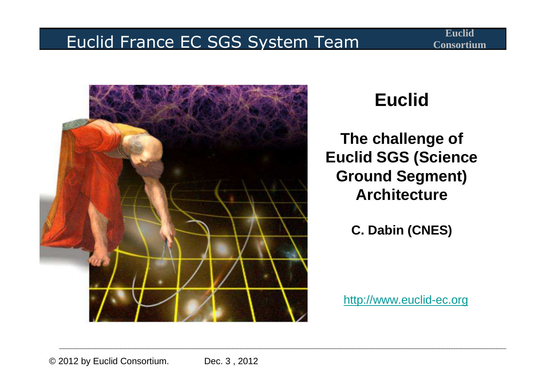#### Euclid France EC SGS System Team



#### **Euclid**

**The challenge of Euclid SGS (Science Ground Segment) Architecture**

**C. Dabin (CNES)**

http://www.euclid-ec.org

© 2012 by Euclid Consortium. Dec. 3, 2012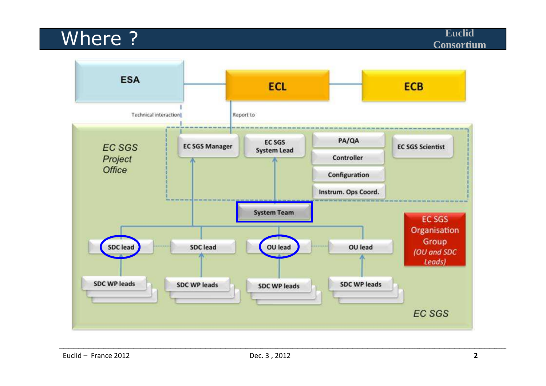#### Where ?

**Euclid**

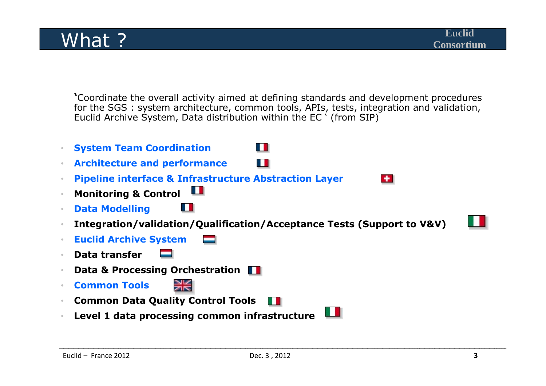**'**Coordinate the overall activity aimed at defining standards and development procedures for the SGS : system architecture, common tools, APIs, tests, integration and validation, Euclid Archive System, Data distribution within the EC ' (from SIP)

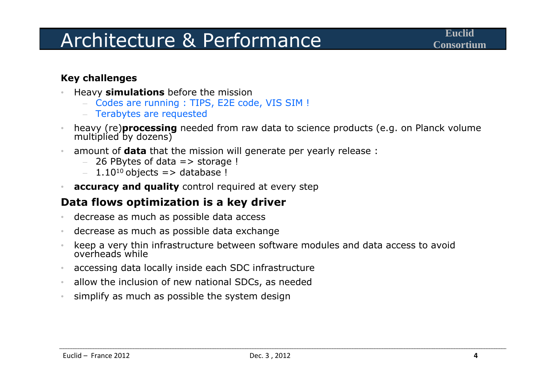#### Architecture & Performance

#### **Key challenges**

- **Heavy simulations** before the mission •
	- Codes are running : TIPS, E2E code, VIS SIM !
	- Terabytes are requested
- •heavy (re)**processing** needed from raw data to science products (e.g. on Planck volume multiplied by dozens)
- $\bullet$  amount of **data** that the mission will generate per yearly release :
	- –26 PBytes of data => storage !
	- $1.10^{10}$  objects => database !
- $\bullet$ **accuracy and quality** control required at every step

#### **Data flows optimization is a key driver**

- •decrease as much as possible data access
- $\bullet$ decrease as much as possible data exchange
- •keep a very thin infrastructure between software modules and data access to avoid overheads while
- $\bullet$ accessing data locally inside each SDC infrastructure
- •allow the inclusion of new national SDCs, as needed
- •simplify as much as possible the system design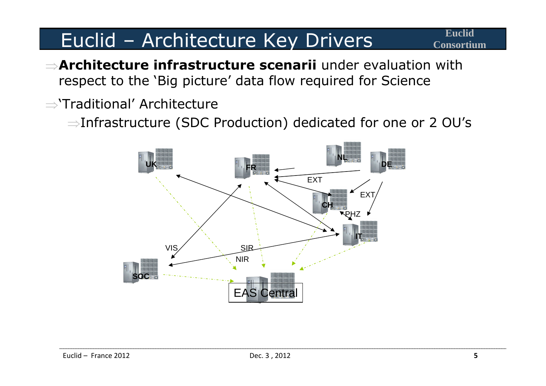### Euclid – Architecture Key Drivers **Consortium**

- ⇒**Architecture infrastructure scenarii** under evaluation with respect to the 'Big picture' data flow required for Science
- <sup>⇒</sup>'Traditional' Architecture
	- ⇒Infrastructure (SDC Production) dedicated for one or 2 OU's

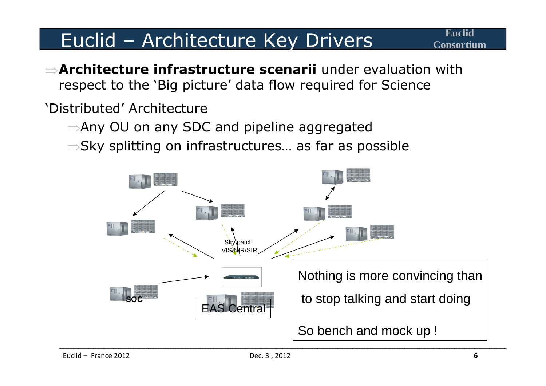### Euclid – Architecture Key Drivers **Consortium**

⇒**Architecture infrastructure scenarii** under evaluation with respect to the 'Big picture' data flow required for Science

'Distributed' Architecture

- ⇒Any OU on any SDC and pipeline aggregated
- $\Rightarrow$ Sky splitting on infrastructures… as far as possible

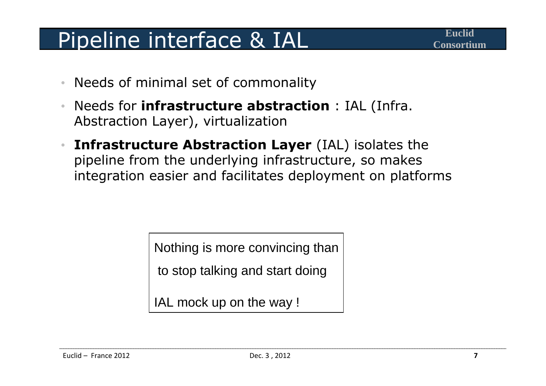# Pipeline interface & IAL

- •Needs of minimal set of commonality
- • Needs for **infrastructure abstraction** : IAL (Infra. Abstraction Layer), virtualization
- • **Infrastructure Abstraction Layer** (IAL) isolates the pipeline from the underlying infrastructure, so makes integration easier and facilitates deployment on platforms

Nothing is more convincing than

to stop talking and start doing

IAL mock up on the way !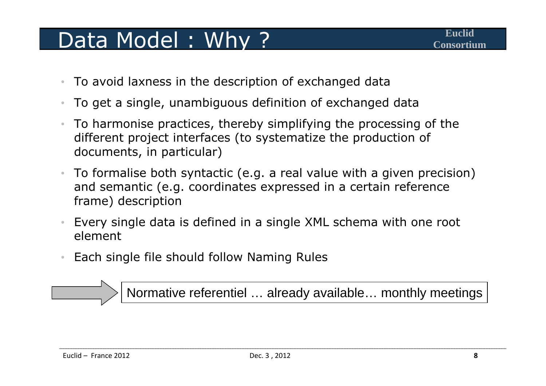## Data Model: Why?

- $\bullet$ To avoid laxness in the description of exchanged data
- $\bullet$ To get a single, unambiguous definition of exchanged data
- $\bullet$  To harmonise practices, thereby simplifying the processing of the different project interfaces (to systematize the production of documents, in particular)
- $\bullet$  To formalise both syntactic (e.g. a real value with a given precision) and semantic (e.g. coordinates expressed in a certain reference frame) description
- • Every single data is defined in a single XML schema with one root element
- $\bullet$ Each single file should follow Naming Rules

Normative referentiel … already available… monthly meetings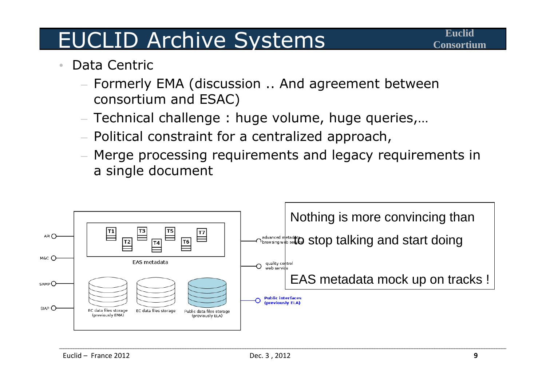# EUCLID Archive Systems

- • Data Centric
	- Formerly EMA (discussion .. And agreement between consortium and ESAC)
	- $-$  Technical challenge  $\colon$  huge volume, huge queries,...
	- $-$  Political constraint for a centralized approach,
	- Merge processing requirements and legacy requirements in a single document

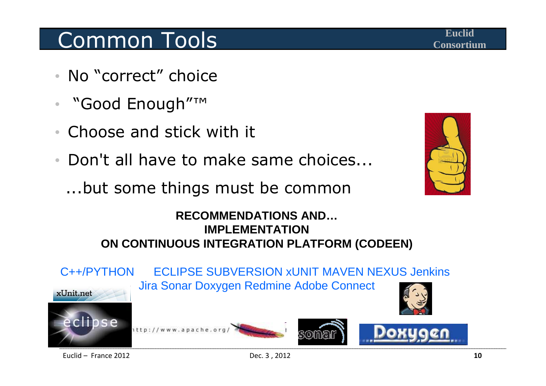## **Common Tools Common Tools**

- No "correct" choice
- $\bullet$ "Good Enough"™
- Choose and stick with it•
- Don't all have to make same choices...

...but some things must be common



#### **RECOMMENDATIONS AND…IMPLEMENTATION ON CONTINUOUS INTEGRATION PLATFORM (CODEEN)**